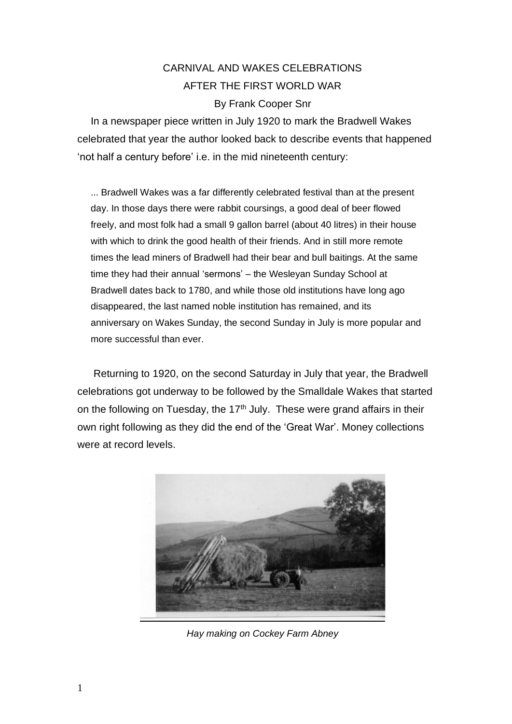## CARNIVAL AND WAKES CELEBRATIONS AFTER THE FIRST WORLD WAR By Frank Cooper Snr

In a newspaper piece written in July 1920 to mark the Bradwell Wakes celebrated that year the author looked back to describe events that happened 'not half a century before' i.e. in the mid nineteenth century:

... Bradwell Wakes was a far differently celebrated festival than at the present day. In those days there were rabbit coursings, a good deal of beer flowed freely, and most folk had a small 9 gallon barrel (about 40 litres) in their house with which to drink the good health of their friends. And in still more remote times the lead miners of Bradwell had their bear and bull baitings. At the same time they had their annual 'sermons' – the Wesleyan Sunday School at Bradwell dates back to 1780, and while those old institutions have long ago disappeared, the last named noble institution has remained, and its anniversary on Wakes Sunday, the second Sunday in July is more popular and more successful than ever.

Returning to 1920, on the second Saturday in July that year, the Bradwell celebrations got underway to be followed by the Smalldale Wakes that started on the following on Tuesday, the  $17<sup>th</sup>$  July. These were grand affairs in their own right following as they did the end of the 'Great War'. Money collections were at record levels.



*Hay making on Cockey Farm Abney*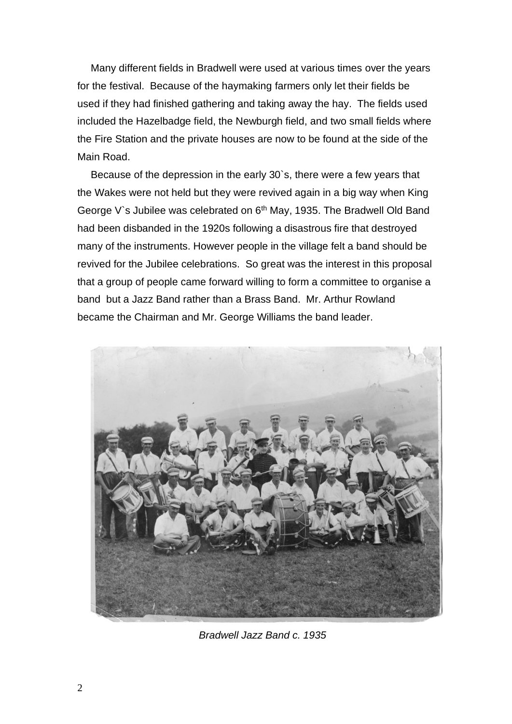Many different fields in Bradwell were used at various times over the years for the festival. Because of the haymaking farmers only let their fields be used if they had finished gathering and taking away the hay. The fields used included the Hazelbadge field, the Newburgh field, and two small fields where the Fire Station and the private houses are now to be found at the side of the Main Road.

Because of the depression in the early 30`s, there were a few years that the Wakes were not held but they were revived again in a big way when King George V's Jubilee was celebrated on 6<sup>th</sup> May, 1935. The Bradwell Old Band had been disbanded in the 1920s following a disastrous fire that destroyed many of the instruments. However people in the village felt a band should be revived for the Jubilee celebrations. So great was the interest in this proposal that a group of people came forward willing to form a committee to organise a band but a Jazz Band rather than a Brass Band. Mr. Arthur Rowland became the Chairman and Mr. George Williams the band leader.



*Bradwell Jazz Band c. 1935*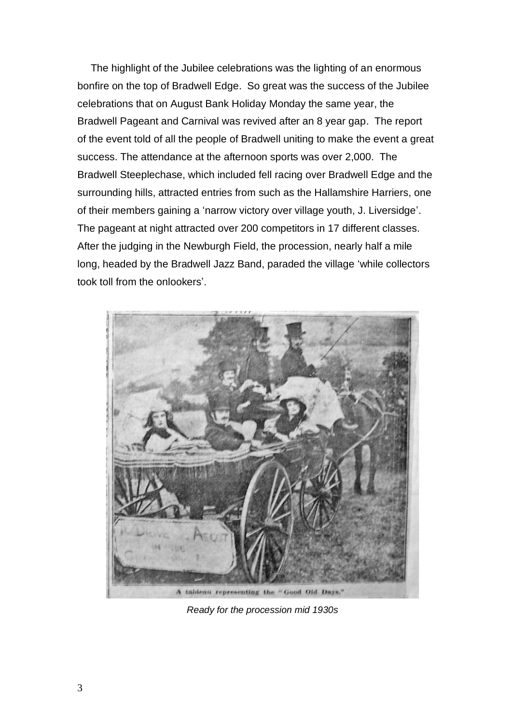The highlight of the Jubilee celebrations was the lighting of an enormous bonfire on the top of Bradwell Edge. So great was the success of the Jubilee celebrations that on August Bank Holiday Monday the same year, the Bradwell Pageant and Carnival was revived after an 8 year gap. The report of the event told of all the people of Bradwell uniting to make the event a great success. The attendance at the afternoon sports was over 2,000. The Bradwell Steeplechase, which included fell racing over Bradwell Edge and the surrounding hills, attracted entries from such as the Hallamshire Harriers, one of their members gaining a 'narrow victory over village youth, J. Liversidge'. The pageant at night attracted over 200 competitors in 17 different classes. After the judging in the Newburgh Field, the procession, nearly half a mile long, headed by the Bradwell Jazz Band, paraded the village 'while collectors took toll from the onlookers'.



*Ready for the procession mid 1930s*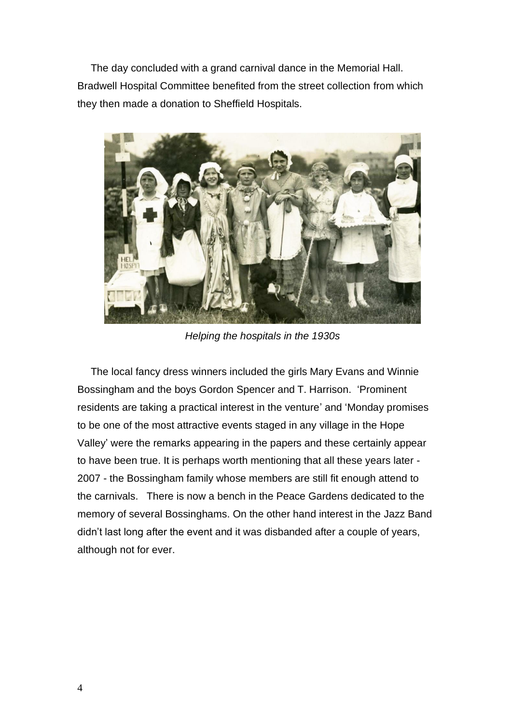The day concluded with a grand carnival dance in the Memorial Hall. Bradwell Hospital Committee benefited from the street collection from which they then made a donation to Sheffield Hospitals.



*Helping the hospitals in the 1930s*

The local fancy dress winners included the girls Mary Evans and Winnie Bossingham and the boys Gordon Spencer and T. Harrison. 'Prominent residents are taking a practical interest in the venture' and 'Monday promises to be one of the most attractive events staged in any village in the Hope Valley' were the remarks appearing in the papers and these certainly appear to have been true. It is perhaps worth mentioning that all these years later - 2007 - the Bossingham family whose members are still fit enough attend to the carnivals. There is now a bench in the Peace Gardens dedicated to the memory of several Bossinghams. On the other hand interest in the Jazz Band didn't last long after the event and it was disbanded after a couple of years, although not for ever.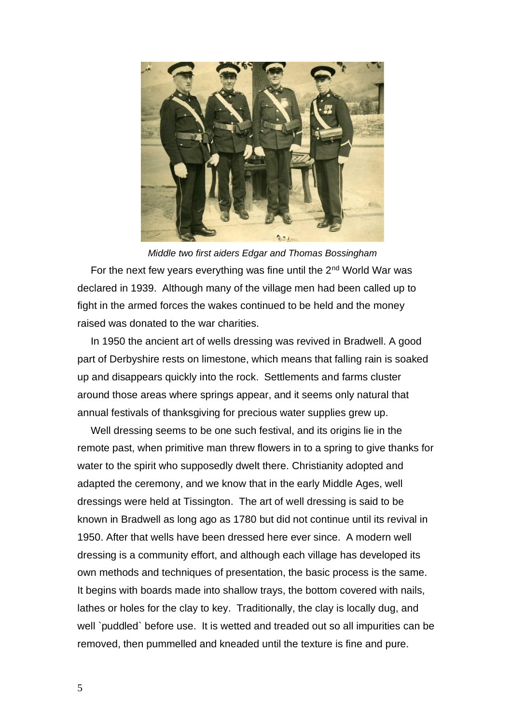

*Middle two first aiders Edgar and Thomas Bossingham* For the next few years everything was fine until the  $2<sup>nd</sup>$  World War was declared in 1939. Although many of the village men had been called up to fight in the armed forces the wakes continued to be held and the money raised was donated to the war charities.

In 1950 the ancient art of wells dressing was revived in Bradwell. A good part of Derbyshire rests on limestone, which means that falling rain is soaked up and disappears quickly into the rock. Settlements and farms cluster around those areas where springs appear, and it seems only natural that annual festivals of thanksgiving for precious water supplies grew up.

Well dressing seems to be one such festival, and its origins lie in the remote past, when primitive man threw flowers in to a spring to give thanks for water to the spirit who supposedly dwelt there. Christianity adopted and adapted the ceremony, and we know that in the early Middle Ages, well dressings were held at Tissington. The art of well dressing is said to be known in Bradwell as long ago as 1780 but did not continue until its revival in 1950. After that wells have been dressed here ever since. A modern well dressing is a community effort, and although each village has developed its own methods and techniques of presentation, the basic process is the same. It begins with boards made into shallow trays, the bottom covered with nails, lathes or holes for the clay to key. Traditionally, the clay is locally dug, and well `puddled` before use. It is wetted and treaded out so all impurities can be removed, then pummelled and kneaded until the texture is fine and pure.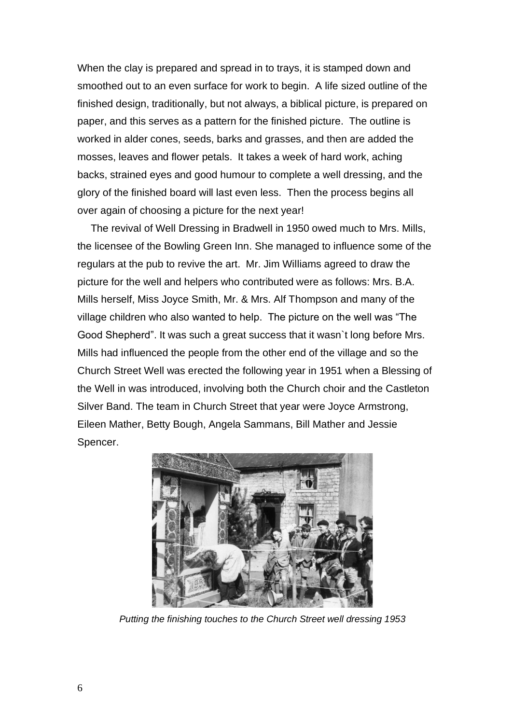When the clay is prepared and spread in to trays, it is stamped down and smoothed out to an even surface for work to begin. A life sized outline of the finished design, traditionally, but not always, a biblical picture, is prepared on paper, and this serves as a pattern for the finished picture. The outline is worked in alder cones, seeds, barks and grasses, and then are added the mosses, leaves and flower petals. It takes a week of hard work, aching backs, strained eyes and good humour to complete a well dressing, and the glory of the finished board will last even less. Then the process begins all over again of choosing a picture for the next year!

The revival of Well Dressing in Bradwell in 1950 owed much to Mrs. Mills, the licensee of the Bowling Green Inn. She managed to influence some of the regulars at the pub to revive the art. Mr. Jim Williams agreed to draw the picture for the well and helpers who contributed were as follows: Mrs. B.A. Mills herself, Miss Joyce Smith, Mr. & Mrs. Alf Thompson and many of the village children who also wanted to help. The picture on the well was "The Good Shepherd". It was such a great success that it wasn`t long before Mrs. Mills had influenced the people from the other end of the village and so the Church Street Well was erected the following year in 1951 when a Blessing of the Well in was introduced, involving both the Church choir and the Castleton Silver Band. The team in Church Street that year were Joyce Armstrong, Eileen Mather, Betty Bough, Angela Sammans, Bill Mather and Jessie Spencer.



*Putting the finishing touches to the Church Street well dressing 1953*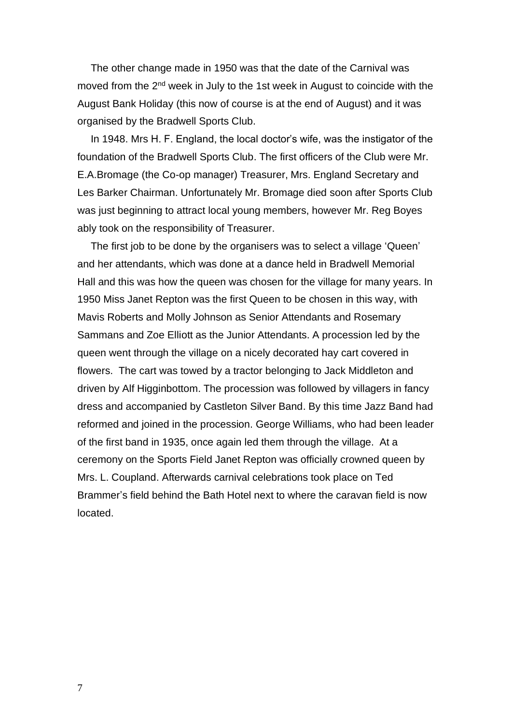The other change made in 1950 was that the date of the Carnival was moved from the 2<sup>nd</sup> week in July to the 1st week in August to coincide with the August Bank Holiday (this now of course is at the end of August) and it was organised by the Bradwell Sports Club.

In 1948. Mrs H. F. England, the local doctor's wife, was the instigator of the foundation of the Bradwell Sports Club. The first officers of the Club were Mr. E.A.Bromage (the Co-op manager) Treasurer, Mrs. England Secretary and Les Barker Chairman. Unfortunately Mr. Bromage died soon after Sports Club was just beginning to attract local young members, however Mr. Reg Boyes ably took on the responsibility of Treasurer.

The first job to be done by the organisers was to select a village 'Queen' and her attendants, which was done at a dance held in Bradwell Memorial Hall and this was how the queen was chosen for the village for many years. In 1950 Miss Janet Repton was the first Queen to be chosen in this way, with Mavis Roberts and Molly Johnson as Senior Attendants and Rosemary Sammans and Zoe Elliott as the Junior Attendants. A procession led by the queen went through the village on a nicely decorated hay cart covered in flowers. The cart was towed by a tractor belonging to Jack Middleton and driven by Alf Higginbottom. The procession was followed by villagers in fancy dress and accompanied by Castleton Silver Band. By this time Jazz Band had reformed and joined in the procession. George Williams, who had been leader of the first band in 1935, once again led them through the village. At a ceremony on the Sports Field Janet Repton was officially crowned queen by Mrs. L. Coupland. Afterwards carnival celebrations took place on Ted Brammer's field behind the Bath Hotel next to where the caravan field is now located.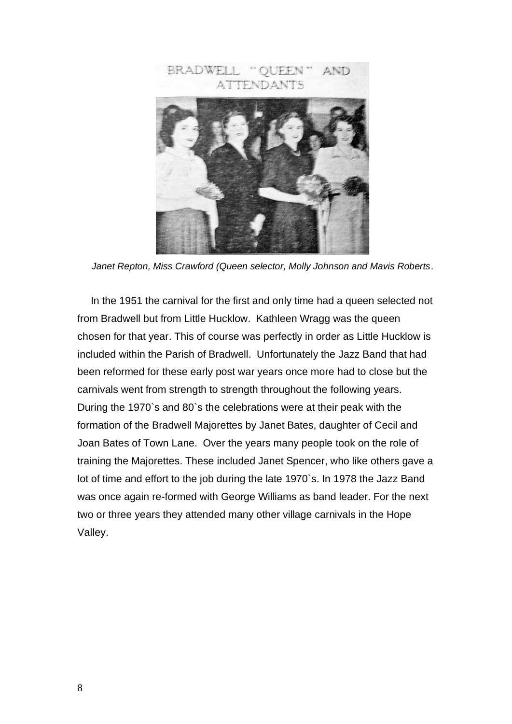

*Janet Repton, Miss Crawford (Queen selector, Molly Johnson and Mavis Roberts*.

In the 1951 the carnival for the first and only time had a queen selected not from Bradwell but from Little Hucklow. Kathleen Wragg was the queen chosen for that year. This of course was perfectly in order as Little Hucklow is included within the Parish of Bradwell. Unfortunately the Jazz Band that had been reformed for these early post war years once more had to close but the carnivals went from strength to strength throughout the following years. During the 1970`s and 80`s the celebrations were at their peak with the formation of the Bradwell Majorettes by Janet Bates, daughter of Cecil and Joan Bates of Town Lane. Over the years many people took on the role of training the Majorettes. These included Janet Spencer, who like others gave a lot of time and effort to the job during the late 1970`s. In 1978 the Jazz Band was once again re-formed with George Williams as band leader. For the next two or three years they attended many other village carnivals in the Hope Valley.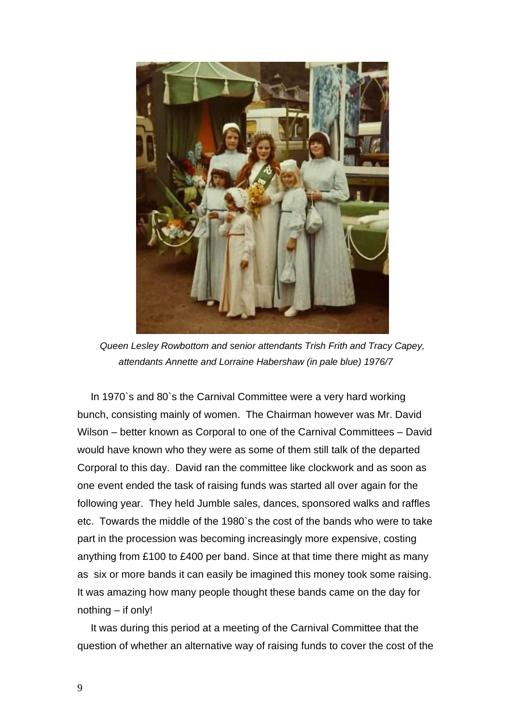

*Queen Lesley Rowbottom and senior attendants Trish Frith and Tracy Capey, attendants Annette and Lorraine Habershaw (in pale blue) 1976/7*

In 1970`s and 80`s the Carnival Committee were a very hard working bunch, consisting mainly of women. The Chairman however was Mr. David Wilson – better known as Corporal to one of the Carnival Committees – David would have known who they were as some of them still talk of the departed Corporal to this day. David ran the committee like clockwork and as soon as one event ended the task of raising funds was started all over again for the following year. They held Jumble sales, dances, sponsored walks and raffles etc. Towards the middle of the 1980`s the cost of the bands who were to take part in the procession was becoming increasingly more expensive, costing anything from £100 to £400 per band. Since at that time there might as many as six or more bands it can easily be imagined this money took some raising. It was amazing how many people thought these bands came on the day for nothing – if only!

It was during this period at a meeting of the Carnival Committee that the question of whether an alternative way of raising funds to cover the cost of the